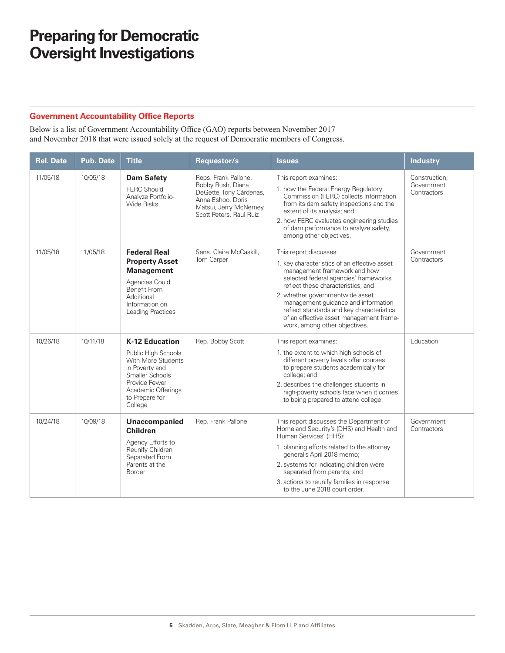#### **Government Accountability Office Reports**

Below is a list of Government Accountability Office (GAO) reports between November 2017 and November 2018 that were issued solely at the request of Democratic members of Congress.

| <b>Rel. Date</b> | <b>Pub. Date</b> | <b>Title</b>                                                                                                                                                                | Requestor/s                                                                                                                                     | <b>Issues</b>                                                                                                                                                                                                                                                                                                                                                                            | <b>Industry</b>                            |
|------------------|------------------|-----------------------------------------------------------------------------------------------------------------------------------------------------------------------------|-------------------------------------------------------------------------------------------------------------------------------------------------|------------------------------------------------------------------------------------------------------------------------------------------------------------------------------------------------------------------------------------------------------------------------------------------------------------------------------------------------------------------------------------------|--------------------------------------------|
| 11/05/18         | 10/05/18         | <b>Dam Safety</b><br><b>FERC Should</b><br>Analyze Portfolio-<br><b>Wide Risks</b>                                                                                          | Reps. Frank Pallone,<br>Bobby Rush, Diana<br>DeGette, Tony Cárdenas,<br>Anna Eshoo, Doris<br>Matsui, Jerry McNerney,<br>Scott Peters, Raul Ruiz | This report examines:<br>1. how the Federal Energy Regulatory<br>Commission (FERC) collects information<br>from its dam safety inspections and the<br>extent of its analysis; and<br>2. how FERC evaluates engineering studies<br>of dam performance to analyze safety,<br>among other objectives.                                                                                       | Construction;<br>Government<br>Contractors |
| 11/05/18         | 11/05/18         | <b>Federal Real</b><br><b>Property Asset</b><br><b>Management</b><br>Agencies Could<br>Benefit From<br>Additional<br>Information on<br><b>Leading Practices</b>             | Sens. Claire McCaskill,<br>Tom Carper                                                                                                           | This report discusses:<br>1. key characteristics of an effective asset<br>management framework and how<br>selected federal agencies' frameworks<br>reflect these characteristics; and<br>2. whether governmentwide asset<br>management guidance and information<br>reflect standards and key characteristics<br>of an effective asset management frame-<br>work, among other objectives. | Government<br>Contractors                  |
| 10/26/18         | 10/11/18         | <b>K-12 Education</b><br>Public High Schools<br>With More Students<br>in Poverty and<br>Smaller Schools<br>Provide Fewer<br>Academic Offerings<br>to Prepare for<br>College | Rep. Bobby Scott                                                                                                                                | This report examines:<br>1. the extent to which high schools of<br>different poverty levels offer courses<br>to prepare students academically for<br>college; and<br>2. describes the challenges students in<br>high-poverty schools face when it comes<br>to being prepared to attend college.                                                                                          | Education                                  |
| 10/24/18         | 10/09/18         | Unaccompanied<br><b>Children</b><br>Agency Efforts to<br>Reunify Children<br>Separated From<br>Parents at the<br>Border                                                     | Rep. Frank Pallone                                                                                                                              | This report discusses the Department of<br>Homeland Security's (DHS) and Health and<br>Human Services' (HHS):<br>1. planning efforts related to the attorney<br>general's April 2018 memo;<br>2. systems for indicating children were<br>separated from parents; and<br>3. actions to reunify families in response<br>to the June 2018 court order.                                      | Government<br>Contractors                  |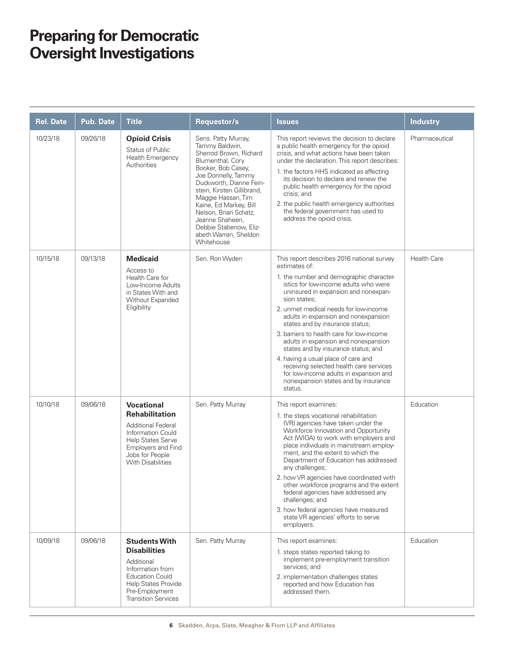| <b>Rel. Date</b> | <b>Pub. Date</b> | <b>Title</b>                                                                                                                                                                                  | Requestor/s                                                                                                                                                                                                                                                                                                                                            | <b>Issues</b>                                                                                                                                                                                                                                                                                                                                                                                                                                                                                                                                                                                                                           | <b>Industry</b>    |
|------------------|------------------|-----------------------------------------------------------------------------------------------------------------------------------------------------------------------------------------------|--------------------------------------------------------------------------------------------------------------------------------------------------------------------------------------------------------------------------------------------------------------------------------------------------------------------------------------------------------|-----------------------------------------------------------------------------------------------------------------------------------------------------------------------------------------------------------------------------------------------------------------------------------------------------------------------------------------------------------------------------------------------------------------------------------------------------------------------------------------------------------------------------------------------------------------------------------------------------------------------------------------|--------------------|
| 10/23/18         | 09/26/18         | <b>Opioid Crisis</b><br><b>Status of Public</b><br><b>Health Emergency</b><br>Authorities                                                                                                     | Sens. Patty Murray,<br>Tammy Baldwin,<br>Sherrod Brown, Richard<br>Blumenthal, Cory<br>Booker, Bob Casey,<br>Joe Donnelly, Tammy<br>Duckworth, Dianne Fein-<br>stein, Kirsten Gillibrand,<br>Maggie Hassan, Tim<br>Kaine, Ed Markey, Bill<br>Nelson, Brian Schatz,<br>Jeanne Shaheen,<br>Debbie Stabenow, Eliz-<br>abeth Warren, Sheldon<br>Whitehouse | This report reviews the decision to declare<br>a public health emergency for the opioid<br>crisis, and what actions have been taken<br>under the declaration. This report describes:<br>1. the factors HHS indicated as affecting<br>its decision to declare and renew the<br>public health emergency for the opioid<br>crisis; and<br>2. the public health emergency authorities<br>the federal government has used to<br>address the opioid crisis.                                                                                                                                                                                   | Pharmaceutical     |
| 10/15/18         | 09/13/18         | <b>Medicaid</b><br>Access to<br>Health Care for<br>Low-Income Adults<br>in States With and<br>Without Expanded<br>Eligibility                                                                 | Sen. Ron Wyden                                                                                                                                                                                                                                                                                                                                         | This report describes 2016 national survey<br>estimates of:<br>1. the number and demographic character-<br>istics for low-income adults who were<br>uninsured in expansion and nonexpan-<br>sion states;<br>2. unmet medical needs for low-income<br>adults in expansion and nonexpansion<br>states and by insurance status;<br>3. barriers to health care for low-income<br>adults in expansion and nonexpansion<br>states and by insurance status; and<br>4. having a usual place of care and<br>receiving selected health care services<br>for low-income adults in expansion and<br>nonexpansion states and by insurance<br>status. | <b>Health Care</b> |
| 10/10/18         | 09/06/18         | <b>Vocational</b><br><b>Rehabilitation</b><br><b>Additional Federal</b><br>Information Could<br><b>Help States Serve</b><br>Employers and Find<br>Jobs for People<br><b>With Disabilities</b> | Sen. Patty Murray                                                                                                                                                                                                                                                                                                                                      | This report examines:<br>1. the steps vocational rehabilitation<br>(VR) agencies have taken under the<br>Workforce Innovation and Opportunity<br>Act (WIOA) to work with employers and<br>place individuals in mainstream employ-<br>ment, and the extent to which the<br>Department of Education has addressed<br>any challenges;<br>2. how VR agencies have coordinated with<br>other workforce programs and the extent<br>federal agencies have addressed any<br>challenges; and<br>3. how federal agencies have measured<br>state VR agencies' efforts to serve<br>employers.                                                       | Education          |
| 10/09/18         | 09/06/18         | <b>Students With</b><br><b>Disabilities</b><br>Additional<br>Information from<br><b>Education Could</b><br>Help States Provide<br>Pre-Employment<br><b>Transition Services</b>                | Sen. Patty Murray                                                                                                                                                                                                                                                                                                                                      | This report examines:<br>1. steps states reported taking to<br>implement pre-employment transition<br>services; and<br>2. implementation challenges states<br>reported and how Education has<br>addressed them.                                                                                                                                                                                                                                                                                                                                                                                                                         | Education          |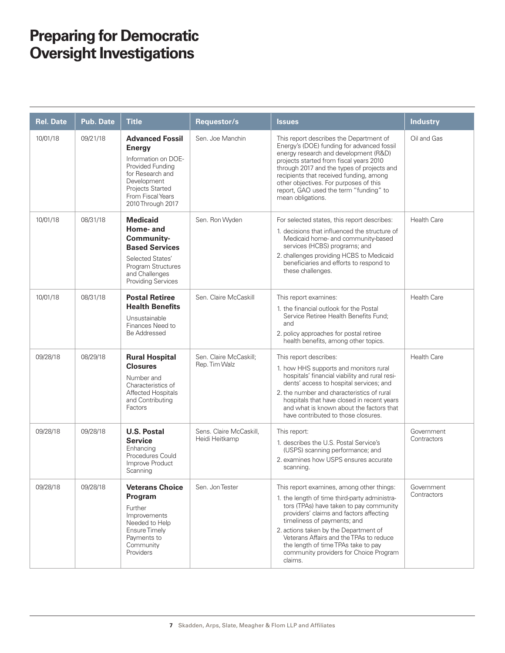| <b>Rel. Date</b> | <b>Pub. Date</b> | <b>Title</b>                                                                                                                                                                        | Requestor/s                               | <b>Issues</b>                                                                                                                                                                                                                                                                                                                                                                                   | <b>Industry</b>           |
|------------------|------------------|-------------------------------------------------------------------------------------------------------------------------------------------------------------------------------------|-------------------------------------------|-------------------------------------------------------------------------------------------------------------------------------------------------------------------------------------------------------------------------------------------------------------------------------------------------------------------------------------------------------------------------------------------------|---------------------------|
| 10/01/18         | 09/21/18         | <b>Advanced Fossil</b><br><b>Energy</b><br>Information on DOE-<br>Provided Funding<br>for Research and<br>Development<br>Projects Started<br>From Fiscal Years<br>2010 Through 2017 | Sen, Joe Manchin                          | This report describes the Department of<br>Energy's (DOE) funding for advanced fossil<br>energy research and development (R&D)<br>projects started from fiscal years 2010<br>through 2017 and the types of projects and<br>recipients that received funding, among<br>other objectives. For purposes of this<br>report, GAO used the term "funding" to<br>mean obligations.                     | Oil and Gas               |
| 10/01/18         | 08/31/18         | <b>Medicaid</b><br>Home- and<br><b>Community-</b><br><b>Based Services</b><br><b>Selected States'</b><br>Program Structures<br>and Challenges<br>Providing Services                 | Sen. Ron Wyden                            | For selected states, this report describes:<br>1. decisions that influenced the structure of<br>Medicaid home- and community-based<br>services (HCBS) programs; and<br>2. challenges providing HCBS to Medicaid<br>beneficiaries and efforts to respond to<br>these challenges.                                                                                                                 | <b>Health Care</b>        |
| 10/01/18         | 08/31/18         | <b>Postal Retiree</b><br><b>Health Benefits</b><br>Unsustainable<br>Finances Need to<br><b>Be Addressed</b>                                                                         | Sen. Claire McCaskill                     | This report examines:<br>1. the financial outlook for the Postal<br>Service Retiree Health Benefits Fund;<br>and<br>2. policy approaches for postal retiree<br>health benefits, among other topics.                                                                                                                                                                                             | <b>Health Care</b>        |
| 09/28/18         | 08/29/18         | <b>Rural Hospital</b><br><b>Closures</b><br>Number and<br>Characteristics of<br><b>Affected Hospitals</b><br>and Contributing<br>Factors                                            | Sen. Claire McCaskill;<br>Rep. Tim Walz   | This report describes:<br>1. how HHS supports and monitors rural<br>hospitals' financial viability and rural resi-<br>dents' access to hospital services; and<br>2. the number and characteristics of rural<br>hospitals that have closed in recent years<br>and what is known about the factors that<br>have contributed to those closures.                                                    | <b>Health Care</b>        |
| 09/28/18         | 09/28/18         | <b>U.S. Postal</b><br><b>Service</b><br>Enhancing<br>Procedures Could<br>Improve Product<br>Scanning                                                                                | Sens. Claire McCaskill,<br>Heidi Heitkamp | This report:<br>1. describes the U.S. Postal Service's<br>(USPS) scanning performance; and<br>2. examines how USPS ensures accurate<br>scanning.                                                                                                                                                                                                                                                | Government<br>Contractors |
| 09/28/18         | 09/28/18         | <b>Veterans Choice</b><br>Program<br>Further<br>Improvements<br>Needed to Help<br><b>Ensure Timely</b><br>Payments to<br>Community<br>Providers                                     | Sen. Jon Tester                           | This report examines, among other things:<br>1. the length of time third-party administra-<br>tors (TPAs) have taken to pay community<br>providers' claims and factors affecting<br>timeliness of payments; and<br>2. actions taken by the Department of<br>Veterans Affairs and the TPAs to reduce<br>the length of time TPAs take to pay<br>community providers for Choice Program<br>claims. | Government<br>Contractors |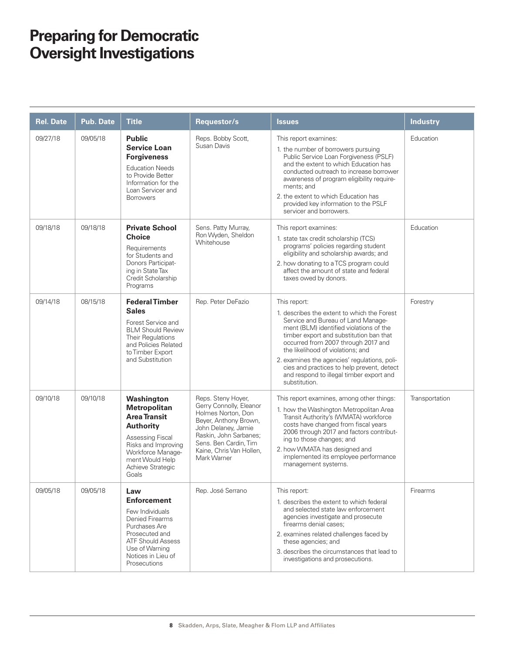| <b>Rel. Date</b> | Pub. Date | <b>Title</b>                                                                                                                                                                                  | Requestor/s                                                                                                                                                                                                       | <b>Issues</b>                                                                                                                                                                                                                                                                                                                                                                                                                  | <b>Industry</b> |
|------------------|-----------|-----------------------------------------------------------------------------------------------------------------------------------------------------------------------------------------------|-------------------------------------------------------------------------------------------------------------------------------------------------------------------------------------------------------------------|--------------------------------------------------------------------------------------------------------------------------------------------------------------------------------------------------------------------------------------------------------------------------------------------------------------------------------------------------------------------------------------------------------------------------------|-----------------|
| 09/27/18         | 09/05/18  | <b>Public</b><br><b>Service Loan</b><br><b>Forgiveness</b><br><b>Education Needs</b><br>to Provide Better<br>Information for the<br>Loan Servicer and<br><b>Borrowers</b>                     | Reps. Bobby Scott,<br>Susan Davis                                                                                                                                                                                 | This report examines:<br>1. the number of borrowers pursuing<br>Public Service Loan Forgiveness (PSLF)<br>and the extent to which Education has<br>conducted outreach to increase borrower<br>awareness of program eligibility require-<br>ments; and<br>2. the extent to which Education has<br>provided key information to the PSLF<br>servicer and borrowers.                                                               | Education       |
| 09/18/18         | 09/18/18  | <b>Private School</b><br>Choice<br>Requirements<br>for Students and<br>Donors Participat-<br>ing in State Tax<br>Credit Scholarship<br>Programs                                               | Sens. Patty Murray,<br>Ron Wyden, Sheldon<br>Whitehouse                                                                                                                                                           | This report examines:<br>1. state tax credit scholarship (TCS)<br>programs' policies regarding student<br>eligibility and scholarship awards; and<br>2. how donating to a TCS program could<br>affect the amount of state and federal<br>taxes owed by donors.                                                                                                                                                                 | Education       |
| 09/14/18         | 08/15/18  | <b>Federal Timber</b><br><b>Sales</b><br>Forest Service and<br><b>BLM Should Review</b><br>Their Regulations<br>and Policies Related<br>to Timber Export<br>and Substitution                  | Rep. Peter DeFazio                                                                                                                                                                                                | This report:<br>1. describes the extent to which the Forest<br>Service and Bureau of Land Manage-<br>ment (BLM) identified violations of the<br>timber export and substitution ban that<br>occurred from 2007 through 2017 and<br>the likelihood of violations; and<br>2. examines the agencies' regulations, poli-<br>cies and practices to help prevent, detect<br>and respond to illegal timber export and<br>substitution. | Forestry        |
| 09/10/18         | 09/10/18  | Washington<br><b>Metropolitan</b><br><b>Area Transit</b><br><b>Authority</b><br>Assessing Fiscal<br>Risks and Improving<br>Workforce Manage-<br>ment Would Help<br>Achieve Strategic<br>Goals | Reps. Steny Hoyer,<br>Gerry Connolly, Eleanor<br>Holmes Norton, Don<br>Beyer, Anthony Brown,<br>John Delaney, Jamie<br>Raskin, John Sarbanes;<br>Sens. Ben Cardin. Tim<br>Kaine, Chris Van Hollen,<br>Mark Warner | This report examines, among other things:<br>1. how the Washington Metropolitan Area<br>Transit Authority's (WMATA) workforce<br>costs have changed from fiscal years<br>2006 through 2017 and factors contribut-<br>ing to those changes; and<br>2. how WMATA has designed and<br>implemented its employee performance<br>management systems.                                                                                 | Transportation  |
| 09/05/18         | 09/05/18  | Law<br><b>Enforcement</b><br>Few Individuals<br>Denied Firearms<br>Purchases Are<br>Prosecuted and<br>ATF Should Assess<br>Use of Warning<br>Notices in Lieu of<br>Prosecutions               | Rep. José Serrano                                                                                                                                                                                                 | This report:<br>1. describes the extent to which federal<br>and selected state law enforcement<br>agencies investigate and prosecute<br>firearms denial cases;<br>2. examines related challenges faced by<br>these agencies; and<br>3. describes the circumstances that lead to<br>investigations and prosecutions.                                                                                                            | Firearms        |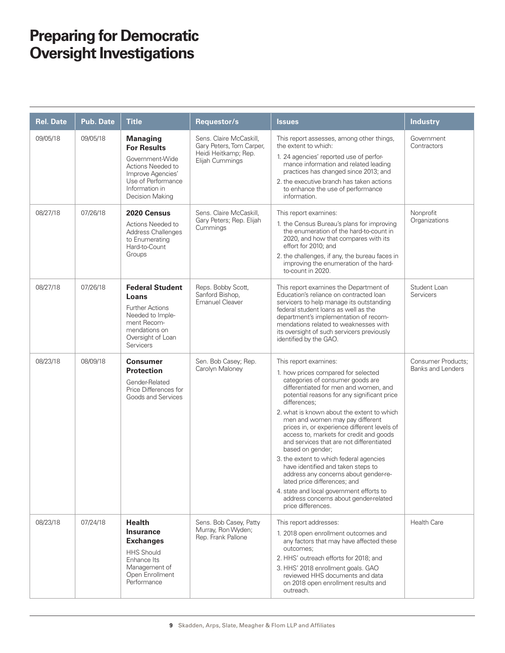| <b>Rel. Date</b> | <b>Pub. Date</b> | <b>Title</b>                                                                                                                                                  | Requestor/s                                                                                    | <b>Issues</b>                                                                                                                                                                                                                                                                                                                                                                                                                                                                                                                                                                                                                                                                                                             | <b>Industry</b>                                       |
|------------------|------------------|---------------------------------------------------------------------------------------------------------------------------------------------------------------|------------------------------------------------------------------------------------------------|---------------------------------------------------------------------------------------------------------------------------------------------------------------------------------------------------------------------------------------------------------------------------------------------------------------------------------------------------------------------------------------------------------------------------------------------------------------------------------------------------------------------------------------------------------------------------------------------------------------------------------------------------------------------------------------------------------------------------|-------------------------------------------------------|
| 09/05/18         | 09/05/18         | <b>Managing</b><br><b>For Results</b><br>Government-Wide<br>Actions Needed to<br>Improve Agencies'<br>Use of Performance<br>Information in<br>Decision Making | Sens. Claire McCaskill,<br>Gary Peters, Tom Carper,<br>Heidi Heitkamp; Rep.<br>Elijah Cummings | This report assesses, among other things,<br>the extent to which:<br>1. 24 agencies' reported use of perfor-<br>mance information and related leading<br>practices has changed since 2013; and<br>2. the executive branch has taken actions<br>to enhance the use of performance<br>information.                                                                                                                                                                                                                                                                                                                                                                                                                          | Government<br>Contractors                             |
| 08/27/18         | 07/26/18         | 2020 Census<br>Actions Needed to<br>Address Challenges<br>to Enumerating<br>Hard-to-Count<br>Groups                                                           | Sens. Claire McCaskill.<br>Gary Peters; Rep. Elijah<br>Cummings                                | This report examines:<br>1. the Census Bureau's plans for improving<br>the enumeration of the hard-to-count in<br>2020, and how that compares with its<br>effort for 2010; and<br>2. the challenges, if any, the bureau faces in<br>improving the enumeration of the hard-<br>to-count in 2020.                                                                                                                                                                                                                                                                                                                                                                                                                           | Nonprofit<br>Organizations                            |
| 08/27/18         | 07/26/18         | <b>Federal Student</b><br>Loans<br><b>Further Actions</b><br>Needed to Imple-<br>ment Recom-<br>mendations on<br>Oversight of Loan<br>Servicers               | Reps. Bobby Scott,<br>Sanford Bishop,<br><b>Emanuel Cleaver</b>                                | This report examines the Department of<br>Education's reliance on contracted loan<br>servicers to help manage its outstanding<br>federal student loans as well as the<br>department's implementation of recom-<br>mendations related to weaknesses with<br>its oversight of such servicers previously<br>identified by the GAO.                                                                                                                                                                                                                                                                                                                                                                                           | Student Loan<br><b>Servicers</b>                      |
| 08/23/18         | 08/09/18         | <b>Consumer</b><br><b>Protection</b><br>Gender-Related<br>Price Differences for<br>Goods and Services                                                         | Sen. Bob Casey; Rep.<br>Carolyn Maloney                                                        | This report examines:<br>1. how prices compared for selected<br>categories of consumer goods are<br>differentiated for men and women, and<br>potential reasons for any significant price<br>differences;<br>2. what is known about the extent to which<br>men and women may pay different<br>prices in, or experience different levels of<br>access to, markets for credit and goods<br>and services that are not differentiated<br>based on gender;<br>3. the extent to which federal agencies<br>have identified and taken steps to<br>address any concerns about gender-re-<br>lated price differences; and<br>4. state and local government efforts to<br>address concerns about gender-related<br>price differences. | <b>Consumer Products:</b><br><b>Banks and Lenders</b> |
| 08/23/18         | 07/24/18         | <b>Health</b><br><b>Insurance</b><br><b>Exchanges</b><br><b>HHS Should</b><br>Enhance Its<br>Management of<br>Open Enrollment<br>Performance                  | Sens. Bob Casey, Patty<br>Murray, Ron Wyden;<br>Rep. Frank Pallone                             | This report addresses:<br>1. 2018 open enrollment outcomes and<br>any factors that may have affected these<br>outcomes;<br>2. HHS' outreach efforts for 2018; and<br>3. HHS' 2018 enrollment goals. GAO<br>reviewed HHS documents and data<br>on 2018 open enrollment results and<br>outreach.                                                                                                                                                                                                                                                                                                                                                                                                                            | <b>Health Care</b>                                    |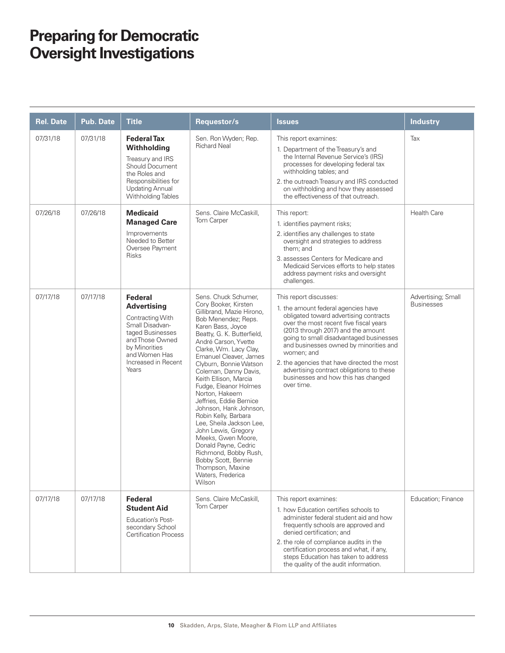| <b>Rel. Date</b> | <b>Pub. Date</b> | <b>Title</b>                                                                                                                                                                         | Requestor/s                                                                                                                                                                                                                                                                                                                                                                                                                                                                                                                                                                                                                             | <b>Issues</b>                                                                                                                                                                                                                                                                                                                                                                                                                               | <b>Industry</b>                         |
|------------------|------------------|--------------------------------------------------------------------------------------------------------------------------------------------------------------------------------------|-----------------------------------------------------------------------------------------------------------------------------------------------------------------------------------------------------------------------------------------------------------------------------------------------------------------------------------------------------------------------------------------------------------------------------------------------------------------------------------------------------------------------------------------------------------------------------------------------------------------------------------------|---------------------------------------------------------------------------------------------------------------------------------------------------------------------------------------------------------------------------------------------------------------------------------------------------------------------------------------------------------------------------------------------------------------------------------------------|-----------------------------------------|
| 07/31/18         | 07/31/18         | <b>Federal Tax</b><br>Withholding<br>Treasury and IRS<br><b>Should Document</b><br>the Roles and<br>Responsibilities for<br><b>Updating Annual</b><br>Withholding Tables             | Sen. Ron Wyden; Rep.<br><b>Richard Neal</b>                                                                                                                                                                                                                                                                                                                                                                                                                                                                                                                                                                                             | This report examines:<br>1. Department of the Treasury's and<br>the Internal Revenue Service's (IRS)<br>processes for developing federal tax<br>withholding tables; and<br>2. the outreach Treasury and IRS conducted<br>on withholding and how they assessed<br>the effectiveness of that outreach.                                                                                                                                        | Tax                                     |
| 07/26/18         | 07/26/18         | <b>Medicaid</b><br><b>Managed Care</b><br>Improvements<br>Needed to Better<br>Oversee Payment<br><b>Risks</b>                                                                        | Sens. Claire McCaskill.<br>Tom Carper                                                                                                                                                                                                                                                                                                                                                                                                                                                                                                                                                                                                   | This report:<br>1. identifies payment risks;<br>2. identifies any challenges to state<br>oversight and strategies to address<br>them; and<br>3. assesses Centers for Medicare and<br>Medicaid Services efforts to help states<br>address payment risks and oversight<br>challenges.                                                                                                                                                         | <b>Health Care</b>                      |
| 07/17/18         | 07/17/18         | <b>Federal</b><br><b>Advertising</b><br>Contracting With<br>Small Disadvan-<br>taged Businesses<br>and Those Owned<br>by Minorities<br>and Women Has<br>Increased in Recent<br>Years | Sens. Chuck Schumer,<br>Cory Booker, Kirsten<br>Gillibrand, Mazie Hirono,<br>Bob Menendez; Reps.<br>Karen Bass, Joyce<br>Beatty, G. K. Butterfield,<br>André Carson, Yvette<br>Clarke, Wm. Lacy Clay,<br>Emanuel Cleaver, James<br>Clyburn, Bonnie Watson<br>Coleman, Danny Davis,<br>Keith Ellison, Marcia<br>Fudge, Eleanor Holmes<br>Norton, Hakeem<br>Jeffries, Eddie Bernice<br>Johnson, Hank Johnson,<br>Robin Kelly, Barbara<br>Lee, Sheila Jackson Lee,<br>John Lewis, Gregory<br>Meeks, Gwen Moore,<br>Donald Payne, Cedric<br>Richmond, Bobby Rush,<br>Bobby Scott, Bennie<br>Thompson, Maxine<br>Waters, Frederica<br>Wilson | This report discusses:<br>1. the amount federal agencies have<br>obligated toward advertising contracts<br>over the most recent five fiscal years<br>(2013 through 2017) and the amount<br>going to small disadvantaged businesses<br>and businesses owned by minorities and<br>women; and<br>2. the agencies that have directed the most<br>advertising contract obligations to these<br>businesses and how this has changed<br>over time. | Advertising; Small<br><b>Businesses</b> |
| 07/17/18         | 07/17/18         | <b>Federal</b><br><b>Student Aid</b><br><b>Education's Post-</b><br>secondary School<br><b>Certification Process</b>                                                                 | Sens. Claire McCaskill,<br>Tom Carper                                                                                                                                                                                                                                                                                                                                                                                                                                                                                                                                                                                                   | This report examines:<br>1. how Education certifies schools to<br>administer federal student aid and how<br>frequently schools are approved and<br>denied certification; and<br>2. the role of compliance audits in the<br>certification process and what, if any,<br>steps Education has taken to address<br>the quality of the audit information.                                                                                         | Education; Finance                      |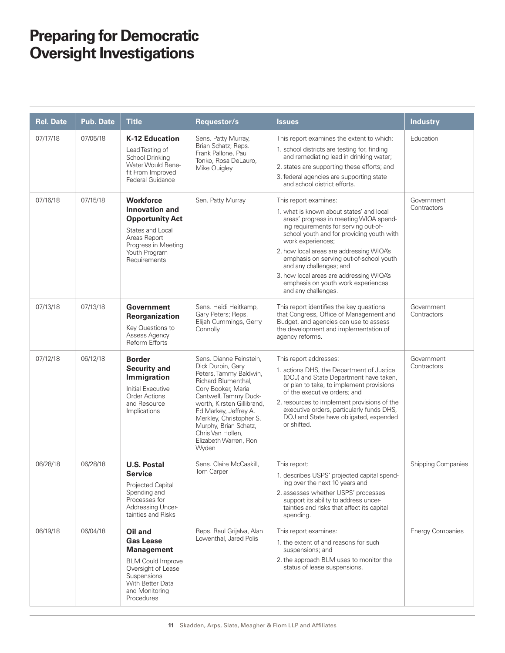| <b>Rel. Date</b> | <b>Pub. Date</b> | <b>Title</b>                                                                                                                                                          | Requestor/s                                                                                                                                                                                                                                                                                                    | <b>Issues</b>                                                                                                                                                                                                                                                                                                                                                                                                                                    | <b>Industry</b>           |
|------------------|------------------|-----------------------------------------------------------------------------------------------------------------------------------------------------------------------|----------------------------------------------------------------------------------------------------------------------------------------------------------------------------------------------------------------------------------------------------------------------------------------------------------------|--------------------------------------------------------------------------------------------------------------------------------------------------------------------------------------------------------------------------------------------------------------------------------------------------------------------------------------------------------------------------------------------------------------------------------------------------|---------------------------|
| 07/17/18         | 07/05/18         | <b>K-12 Education</b><br>Lead Testing of<br>School Drinking<br>Water Would Bene-<br>fit From Improved<br><b>Federal Guidance</b>                                      | Sens. Patty Murray,<br>Brian Schatz; Reps.<br>Frank Pallone, Paul<br>Tonko, Rosa DeLauro,<br>Mike Quigley                                                                                                                                                                                                      | This report examines the extent to which:<br>1. school districts are testing for, finding<br>and remediating lead in drinking water;<br>2. states are supporting these efforts; and<br>3. federal agencies are supporting state<br>and school district efforts.                                                                                                                                                                                  | Education                 |
| 07/16/18         | 07/15/18         | <b>Workforce</b><br><b>Innovation and</b><br><b>Opportunity Act</b><br>States and Local<br>Areas Report<br>Progress in Meeting<br>Youth Program<br>Requirements       | Sen. Patty Murray                                                                                                                                                                                                                                                                                              | This report examines:<br>1. what is known about states' and local<br>areas' progress in meeting WIOA spend-<br>ing requirements for serving out-of-<br>school youth and for providing youth with<br>work experiences;<br>2. how local areas are addressing WIOA's<br>emphasis on serving out-of-school youth<br>and any challenges; and<br>3. how local areas are addressing WIOA's<br>emphasis on youth work experiences<br>and any challenges. | Government<br>Contractors |
| 07/13/18         | 07/13/18         | Government<br>Reorganization<br>Key Questions to<br>Assess Agency<br><b>Reform Efforts</b>                                                                            | Sens. Heidi Heitkamp,<br>Gary Peters; Reps.<br>Elijah Cummings, Gerry<br>Connolly                                                                                                                                                                                                                              | This report identifies the key questions<br>that Congress, Office of Management and<br>Budget, and agencies can use to assess<br>the development and implementation of<br>agency reforms.                                                                                                                                                                                                                                                        | Government<br>Contractors |
| 07/12/18         | 06/12/18         | <b>Border</b><br><b>Security and</b><br>Immigration<br><b>Initial Executive</b><br><b>Order Actions</b><br>and Resource<br>Implications                               | Sens. Dianne Feinstein,<br>Dick Durbin, Gary<br>Peters, Tammy Baldwin,<br>Richard Blumenthal,<br>Cory Booker, Maria<br>Cantwell, Tammy Duck-<br>worth, Kirsten Gillibrand,<br>Ed Markey, Jeffrey A.<br>Merkley, Christopher S.<br>Murphy, Brian Schatz,<br>Chris Van Hollen,<br>Elizabeth Warren, Ron<br>Wyden | This report addresses:<br>1. actions DHS, the Department of Justice<br>(DOJ) and State Department have taken,<br>or plan to take, to implement provisions<br>of the executive orders; and<br>2. resources to implement provisions of the<br>executive orders, particularly funds DHS,<br>DOJ and State have obligated, expended<br>or shifted.                                                                                                   | Government<br>Contractors |
| 06/28/18         | 06/28/18         | <b>U.S. Postal</b><br><b>Service</b><br>Projected Capital<br>Spending and<br>Processes for<br><b>Addressing Uncer-</b><br>tainties and Risks                          | Sens. Claire McCaskill,<br>Tom Carper                                                                                                                                                                                                                                                                          | This report:<br>1. describes USPS' projected capital spend-<br>ing over the next 10 years and<br>2. assesses whether USPS' processes<br>support its ability to address uncer-<br>tainties and risks that affect its capital<br>spending.                                                                                                                                                                                                         | Shipping Companies        |
| 06/19/18         | 06/04/18         | Oil and<br><b>Gas Lease</b><br><b>Management</b><br><b>BLM Could Improve</b><br>Oversight of Lease<br>Suspensions<br>With Better Data<br>and Monitoring<br>Procedures | Reps. Raul Grijalva, Alan<br>Lowenthal, Jared Polis                                                                                                                                                                                                                                                            | This report examines:<br>1. the extent of and reasons for such<br>suspensions; and<br>2. the approach BLM uses to monitor the<br>status of lease suspensions.                                                                                                                                                                                                                                                                                    | <b>Energy Companies</b>   |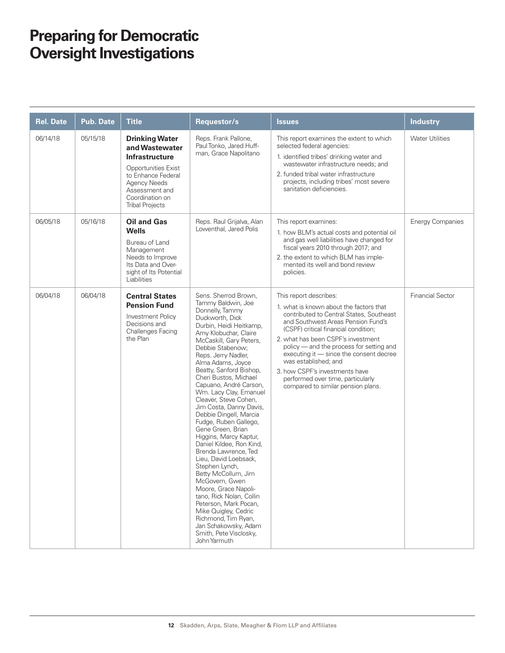| <b>Rel. Date</b> | <b>Pub. Date</b> | <b>Title</b>                                                                                                                                                                                        | Requestor/s                                                                                                                                                                                                                                                                                                                                                                                                                                                                                                                                                                                                                                                                                                                                                                                                                         | <b>Issues</b>                                                                                                                                                                                                                                                                                                                                                                                                                                                 | <b>Industry</b>         |
|------------------|------------------|-----------------------------------------------------------------------------------------------------------------------------------------------------------------------------------------------------|-------------------------------------------------------------------------------------------------------------------------------------------------------------------------------------------------------------------------------------------------------------------------------------------------------------------------------------------------------------------------------------------------------------------------------------------------------------------------------------------------------------------------------------------------------------------------------------------------------------------------------------------------------------------------------------------------------------------------------------------------------------------------------------------------------------------------------------|---------------------------------------------------------------------------------------------------------------------------------------------------------------------------------------------------------------------------------------------------------------------------------------------------------------------------------------------------------------------------------------------------------------------------------------------------------------|-------------------------|
| 06/14/18         | 05/15/18         | <b>Drinking Water</b><br>and Wastewater<br><b>Infrastructure</b><br><b>Opportunities Exist</b><br>to Enhance Federal<br>Agency Needs<br>Assessment and<br>Coordination on<br><b>Tribal Projects</b> | Reps. Frank Pallone,<br>Paul Tonko, Jared Huff-<br>man, Grace Napolitano                                                                                                                                                                                                                                                                                                                                                                                                                                                                                                                                                                                                                                                                                                                                                            | This report examines the extent to which<br>selected federal agencies:<br>1. identified tribes' drinking water and<br>wastewater infrastructure needs; and<br>2. funded tribal water infrastructure<br>projects, including tribes' most severe<br>sanitation deficiencies.                                                                                                                                                                                    | <b>Water Utilities</b>  |
| 06/05/18         | 05/16/18         | <b>Oil and Gas</b><br><b>Wells</b><br>Bureau of Land<br>Management<br>Needs to Improve<br>Its Data and Over-<br>sight of Its Potential<br>Liabilities                                               | Reps. Raul Grijalva, Alan<br>Lowenthal, Jared Polis                                                                                                                                                                                                                                                                                                                                                                                                                                                                                                                                                                                                                                                                                                                                                                                 | This report examines:<br>1. how BLM's actual costs and potential oil<br>and gas well liabilities have changed for<br>fiscal years 2010 through 2017; and<br>2. the extent to which BLM has imple-<br>mented its well and bond review<br>policies.                                                                                                                                                                                                             | <b>Energy Companies</b> |
| 06/04/18         | 06/04/18         | <b>Central States</b><br><b>Pension Fund</b><br>Investment Policy<br>Decisions and<br><b>Challenges Facing</b><br>the Plan                                                                          | Sens. Sherrod Brown,<br>Tammy Baldwin, Joe<br>Donnelly, Tammy<br>Duckworth, Dick<br>Durbin, Heidi Heitkamp,<br>Amy Klobuchar, Claire<br>McCaskill, Gary Peters,<br>Debbie Stabenow;<br>Reps. Jerry Nadler,<br>Alma Adams, Joyce<br>Beatty, Sanford Bishop,<br>Cheri Bustos, Michael<br>Capuano, André Carson,<br>Wm. Lacy Clay, Emanuel<br>Cleaver, Steve Cohen,<br>Jim Costa, Danny Davis,<br>Debbie Dingell, Marcia<br>Fudge, Ruben Gallego,<br>Gene Green, Brian<br>Higgins, Marcy Kaptur,<br>Daniel Kildee, Ron Kind,<br>Brenda Lawrence, Ted<br>Lieu, David Loebsack,<br>Stephen Lynch,<br>Betty McCollum, Jim<br>McGovern, Gwen<br>Moore, Grace Napoli-<br>tano, Rick Nolan, Collin<br>Peterson, Mark Pocan,<br>Mike Quigley, Cedric<br>Richmond, Tim Ryan,<br>Jan Schakowsky, Adam<br>Smith, Pete Visclosky,<br>John Yarmuth | This report describes:<br>1. what is known about the factors that<br>contributed to Central States, Southeast<br>and Southwest Areas Pension Fund's<br>(CSPF) critical financial condition:<br>2. what has been CSPF's investment<br>policy - and the process for setting and<br>executing it - since the consent decree<br>was established; and<br>3. how CSPF's investments have<br>performed over time, particularly<br>compared to similar pension plans. | <b>Financial Sector</b> |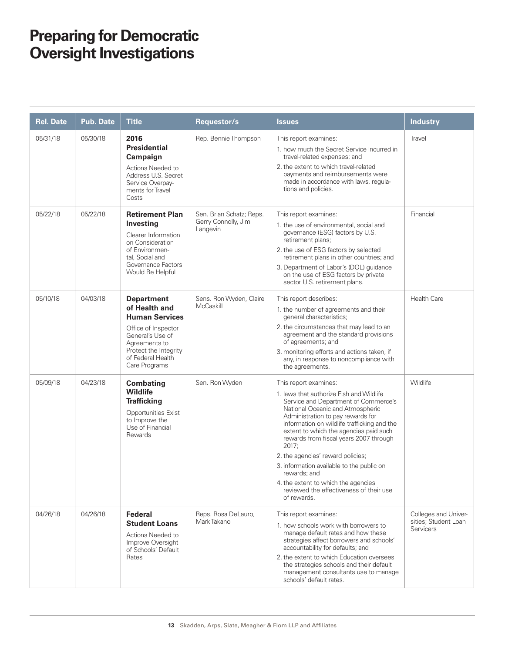| <b>Rel. Date</b> | <b>Pub. Date</b> | <b>Title</b>                                                                                                                                                                           | Requestor/s                                                 | <b>Issues</b>                                                                                                                                                                                                                                                                                                                                                                                                                                                                                                                     | <b>Industry</b>                                                  |
|------------------|------------------|----------------------------------------------------------------------------------------------------------------------------------------------------------------------------------------|-------------------------------------------------------------|-----------------------------------------------------------------------------------------------------------------------------------------------------------------------------------------------------------------------------------------------------------------------------------------------------------------------------------------------------------------------------------------------------------------------------------------------------------------------------------------------------------------------------------|------------------------------------------------------------------|
| 05/31/18         | 05/30/18         | 2016<br><b>Presidential</b><br>Campaign<br>Actions Needed to<br>Address U.S. Secret<br>Service Overpay-<br>ments for Travel<br>Costs                                                   | Rep. Bennie Thompson                                        | This report examines:<br>1. how much the Secret Service incurred in<br>travel-related expenses; and<br>2. the extent to which travel-related<br>payments and reimbursements were<br>made in accordance with laws, regula-<br>tions and policies.                                                                                                                                                                                                                                                                                  | Travel                                                           |
| 05/22/18         | 05/22/18         | <b>Retirement Plan</b><br>Investing<br>Clearer Information<br>on Consideration<br>of Environmen-<br>tal, Social and<br>Governance Factors<br>Would Be Helpful                          | Sen. Brian Schatz; Reps.<br>Gerry Connolly, Jim<br>Langevin | This report examines:<br>1. the use of environmental, social and<br>governance (ESG) factors by U.S.<br>retirement plans;<br>2. the use of ESG factors by selected<br>retirement plans in other countries; and<br>3. Department of Labor's (DOL) guidance<br>on the use of ESG factors by private<br>sector U.S. retirement plans.                                                                                                                                                                                                | Financial                                                        |
| 05/10/18         | 04/03/18         | <b>Department</b><br>of Health and<br><b>Human Services</b><br>Office of Inspector<br>General's Use of<br>Agreements to<br>Protect the Integrity<br>of Federal Health<br>Care Programs | Sens. Ron Wyden, Claire<br>McCaskill                        | This report describes:<br>1. the number of agreements and their<br>general characteristics;<br>2. the circumstances that may lead to an<br>agreement and the standard provisions<br>of agreements; and<br>3. monitoring efforts and actions taken, if<br>any, in response to noncompliance with<br>the agreements.                                                                                                                                                                                                                | <b>Health Care</b>                                               |
| 05/09/18         | 04/23/18         | <b>Combating</b><br><b>Wildlife</b><br><b>Trafficking</b><br><b>Opportunities Exist</b><br>to Improve the<br>Use of Financial<br>Rewards                                               | Sen. Ron Wyden                                              | This report examines:<br>1. laws that authorize Fish and Wildlife<br>Service and Department of Commerce's<br>National Oceanic and Atmospheric<br>Administration to pay rewards for<br>information on wildlife trafficking and the<br>extent to which the agencies paid such<br>rewards from fiscal years 2007 through<br>2017;<br>2. the agencies' reward policies;<br>3. information available to the public on<br>rewards; and<br>4. the extent to which the agencies<br>reviewed the effectiveness of their use<br>of rewards. | Wildlife                                                         |
| 04/26/18         | 04/26/18         | <b>Federal</b><br><b>Student Loans</b><br>Actions Needed to<br>Improve Oversight<br>of Schools' Default<br>Rates                                                                       | Reps. Rosa DeLauro,<br>Mark Takano                          | This report examines:<br>1. how schools work with borrowers to<br>manage default rates and how these<br>strategies affect borrowers and schools'<br>accountability for defaults; and<br>2. the extent to which Education oversees<br>the strategies schools and their default<br>management consultants use to manage<br>schools' default rates.                                                                                                                                                                                  | Colleges and Univer-<br>sities; Student Loan<br><b>Servicers</b> |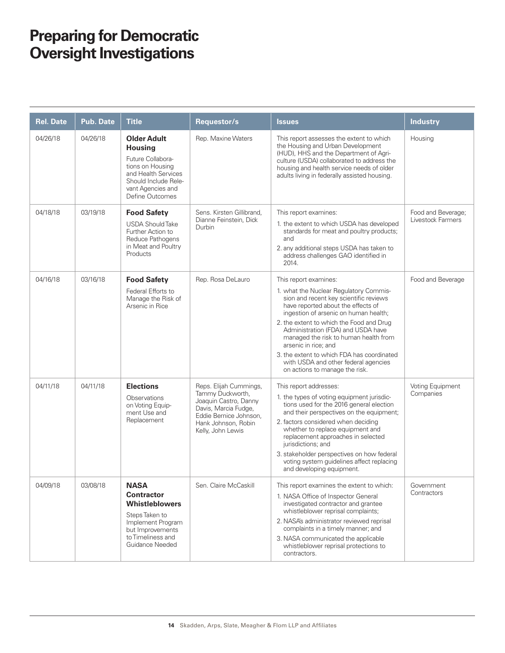| <b>Rel. Date</b> | <b>Pub. Date</b> | <b>Title</b>                                                                                                                                                         | Requestor/s                                                                                                                                                       | <b>Issues</b>                                                                                                                                                                                                                                                                                                                                                                                                                                                       | <b>Industry</b>                         |
|------------------|------------------|----------------------------------------------------------------------------------------------------------------------------------------------------------------------|-------------------------------------------------------------------------------------------------------------------------------------------------------------------|---------------------------------------------------------------------------------------------------------------------------------------------------------------------------------------------------------------------------------------------------------------------------------------------------------------------------------------------------------------------------------------------------------------------------------------------------------------------|-----------------------------------------|
| 04/26/18         | 04/26/18         | <b>Older Adult</b><br><b>Housing</b><br>Future Collabora-<br>tions on Housing<br>and Health Services<br>Should Include Rele-<br>vant Agencies and<br>Define Outcomes | Rep. Maxine Waters                                                                                                                                                | This report assesses the extent to which<br>the Housing and Urban Development<br>(HUD), HHS and the Department of Agri-<br>culture (USDA) collaborated to address the<br>housing and health service needs of older<br>adults living in federally assisted housing.                                                                                                                                                                                                  | Housing                                 |
| 04/18/18         | 03/19/18         | <b>Food Safety</b><br><b>USDA Should Take</b><br>Further Action to<br>Reduce Pathogens<br>in Meat and Poultry<br>Products                                            | Sens. Kirsten Gillibrand.<br>Dianne Feinstein, Dick<br>Durbin                                                                                                     | This report examines:<br>1. the extent to which USDA has developed<br>standards for meat and poultry products;<br>and<br>2. any additional steps USDA has taken to<br>address challenges GAO identified in<br>2014.                                                                                                                                                                                                                                                 | Food and Beverage;<br>Livestock Farmers |
| 04/16/18         | 03/16/18         | <b>Food Safety</b><br>Federal Efforts to<br>Manage the Risk of<br>Arsenic in Rice                                                                                    | Rep. Rosa DeLauro                                                                                                                                                 | This report examines:<br>1. what the Nuclear Regulatory Commis-<br>sion and recent key scientific reviews<br>have reported about the effects of<br>ingestion of arsenic on human health;<br>2. the extent to which the Food and Drug<br>Administration (FDA) and USDA have<br>managed the risk to human health from<br>arsenic in rice; and<br>3. the extent to which FDA has coordinated<br>with USDA and other federal agencies<br>on actions to manage the risk. | Food and Beverage                       |
| 04/11/18         | 04/11/18         | <b>Elections</b><br>Observations<br>on Voting Equip-<br>ment Use and<br>Replacement                                                                                  | Reps. Elijah Cummings,<br>Tammy Duckworth,<br>Joaquin Castro, Danny<br>Davis, Marcia Fudge,<br>Eddie Bernice Johnson,<br>Hank Johnson, Robin<br>Kelly, John Lewis | This report addresses:<br>1. the types of voting equipment jurisdic-<br>tions used for the 2016 general election<br>and their perspectives on the equipment;<br>2. factors considered when deciding<br>whether to replace equipment and<br>replacement approaches in selected<br>jurisdictions; and<br>3. stakeholder perspectives on how federal<br>voting system guidelines affect replacing<br>and developing equipment.                                         | Voting Equipment<br>Companies           |
| 04/09/18         | 03/08/18         | <b>NASA</b><br><b>Contractor</b><br><b>Whistleblowers</b><br>Steps Taken to<br>Implement Program<br>but Improvements<br>to Timeliness and<br>Guidance Needed         | Sen. Claire McCaskill                                                                                                                                             | This report examines the extent to which:<br>1. NASA Office of Inspector General<br>investigated contractor and grantee<br>whistleblower reprisal complaints;<br>2. NASA's administrator reviewed reprisal<br>complaints in a timely manner; and<br>3. NASA communicated the applicable<br>whistleblower reprisal protections to<br>contractors.                                                                                                                    | Government<br>Contractors               |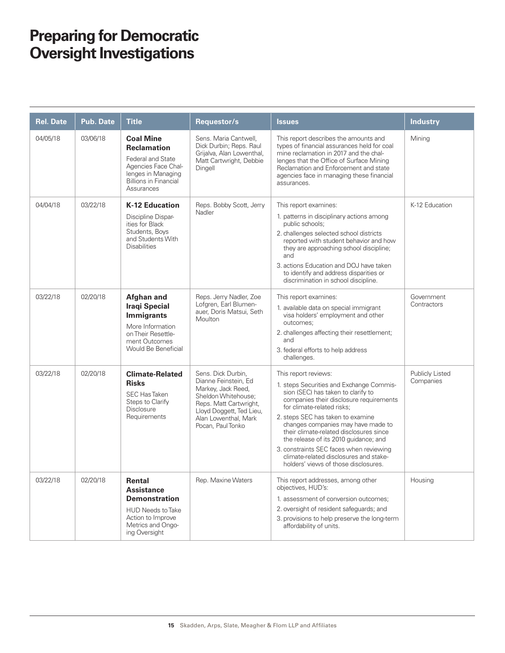| <b>Rel. Date</b> | <b>Pub. Date</b> | <b>Title</b>                                                                                                                                           | <b>Requestor/s</b>                                                                                                                                                                         | <b>Issues</b>                                                                                                                                                                                                                                                                                                                                                                                                                                                               | <b>Industry</b>              |
|------------------|------------------|--------------------------------------------------------------------------------------------------------------------------------------------------------|--------------------------------------------------------------------------------------------------------------------------------------------------------------------------------------------|-----------------------------------------------------------------------------------------------------------------------------------------------------------------------------------------------------------------------------------------------------------------------------------------------------------------------------------------------------------------------------------------------------------------------------------------------------------------------------|------------------------------|
| 04/05/18         | 03/06/18         | <b>Coal Mine</b><br><b>Reclamation</b><br>Federal and State<br>Agencies Face Chal-<br>lenges in Managing<br><b>Billions in Financial</b><br>Assurances | Sens. Maria Cantwell.<br>Dick Durbin; Reps. Raul<br>Grijalva, Alan Lowenthal,<br>Matt Cartwright, Debbie<br>Dingell                                                                        | This report describes the amounts and<br>types of financial assurances held for coal<br>mine reclamation in 2017 and the chal-<br>lenges that the Office of Surface Mining<br>Reclamation and Enforcement and state<br>agencies face in managing these financial<br>assurances.                                                                                                                                                                                             | Mining                       |
| 04/04/18         | 03/22/18         | <b>K-12 Education</b><br>Discipline Dispar-<br>ities for Black<br>Students, Boys<br>and Students With<br><b>Disabilities</b>                           | Reps. Bobby Scott, Jerry<br>Nadler                                                                                                                                                         | This report examines:<br>1. patterns in disciplinary actions among<br>public schools;<br>2. challenges selected school districts<br>reported with student behavior and how<br>they are approaching school discipline;<br>and<br>3. actions Education and DOJ have taken<br>to identify and address disparities or<br>discrimination in school discipline.                                                                                                                   | K-12 Education               |
| 03/22/18         | 02/20/18         | <b>Afghan and</b><br><b>Iraqi Special</b><br><b>Immigrants</b><br>More Information<br>on Their Resettle-<br>ment Outcomes<br>Would Be Beneficial       | Reps. Jerry Nadler, Zoe<br>Lofgren, Earl Blumen-<br>auer, Doris Matsui, Seth<br>Moulton                                                                                                    | This report examines:<br>1. available data on special immigrant<br>visa holders' employment and other<br>outcomes:<br>2. challenges affecting their resettlement;<br>and<br>3. federal efforts to help address<br>challenges.                                                                                                                                                                                                                                               | Government<br>Contractors    |
| 03/22/18         | 02/20/18         | <b>Climate-Related</b><br><b>Risks</b><br><b>SEC Has Taken</b><br>Steps to Clarify<br><b>Disclosure</b><br>Requirements                                | Sens. Dick Durbin,<br>Dianne Feinstein, Ed<br>Markey, Jack Reed,<br>Sheldon Whitehouse;<br>Reps. Matt Cartwright,<br>Lloyd Doggett, Ted Lieu,<br>Alan Lowenthal, Mark<br>Pocan, Paul Tonko | This report reviews:<br>1. steps Securities and Exchange Commis-<br>sion (SEC) has taken to clarify to<br>companies their disclosure requirements<br>for climate-related risks;<br>2. steps SEC has taken to examine<br>changes companies may have made to<br>their climate-related disclosures since<br>the release of its 2010 guidance; and<br>3. constraints SEC faces when reviewing<br>climate-related disclosures and stake-<br>holders' views of those disclosures. | Publicly Listed<br>Companies |
| 03/22/18         | 02/20/18         | Rental<br><b>Assistance</b><br><b>Demonstration</b><br><b>HUD Needs to Take</b><br>Action to Improve<br>Metrics and Ongo-<br>ing Oversight             | Rep. Maxine Waters                                                                                                                                                                         | This report addresses, among other<br>objectives, HUD's:<br>1. assessment of conversion outcomes;<br>2. oversight of resident safeguards; and<br>3. provisions to help preserve the long-term<br>affordability of units.                                                                                                                                                                                                                                                    | Housing                      |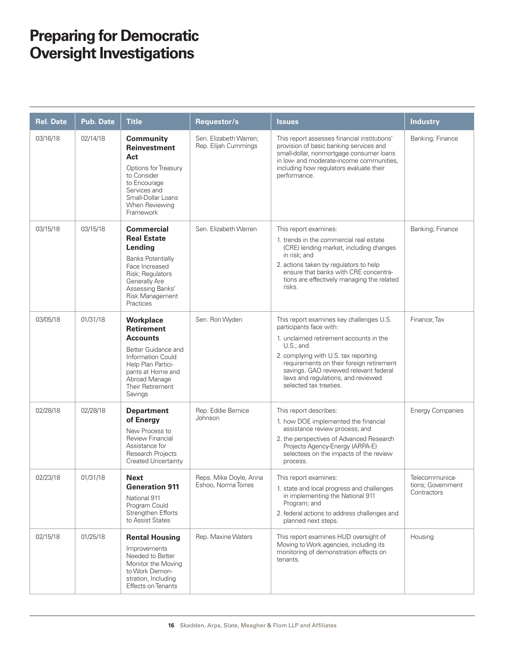| <b>Rel. Date</b> | <b>Pub. Date</b> | <b>Title</b>                                                                                                                                                                                     | Requestor/s                                    | <b>Issues</b>                                                                                                                                                                                                                                                                                                               | <b>Industry</b>                                    |
|------------------|------------------|--------------------------------------------------------------------------------------------------------------------------------------------------------------------------------------------------|------------------------------------------------|-----------------------------------------------------------------------------------------------------------------------------------------------------------------------------------------------------------------------------------------------------------------------------------------------------------------------------|----------------------------------------------------|
| 03/16/18         | 02/14/18         | <b>Community</b><br><b>Reinvestment</b><br>Act<br>Options for Treasury<br>to Consider<br>to Encourage<br>Services and<br>Small-Dollar Loans<br>When Reviewing<br>Framework                       | Sen. Elizabeth Warren;<br>Rep. Elijah Cummings | This report assesses financial institutions'<br>provision of basic banking services and<br>small-dollar, nonmortgage consumer loans<br>in low- and moderate-income communities,<br>including how regulators evaluate their<br>performance.                                                                                  | Banking; Finance                                   |
| 03/15/18         | 03/15/18         | <b>Commercial</b><br><b>Real Estate</b><br>Lending<br><b>Banks Potentially</b><br>Face Increased<br>Risk; Regulators<br><b>Generally Are</b><br>Assessing Banks'<br>Risk Management<br>Practices | Sen. Elizabeth Warren                          | This report examines:<br>1. trends in the commercial real estate<br>(CRE) lending market, including changes<br>in risk; and<br>2. actions taken by regulators to help<br>ensure that banks with CRE concentra-<br>tions are effectively managing the related<br>risks.                                                      | Banking; Finance                                   |
| 03/05/18         | 01/31/18         | <b>Workplace</b><br><b>Retirement</b><br><b>Accounts</b><br>Better Guidance and<br>Information Could<br>Help Plan Partici-<br>pants at Home and<br>Abroad Manage<br>Their Retirement<br>Savings  | Sen. Ron Wyden                                 | This report examines key challenges U.S.<br>participants face with:<br>1. unclaimed retirement accounts in the<br>$U.S.;$ and<br>2. complying with U.S. tax reporting<br>requirements on their foreign retirement<br>savings. GAO reviewed relevant federal<br>laws and regulations, and reviewed<br>selected tax treaties. | Finance; Tax                                       |
| 02/28/18         | 02/28/18         | <b>Department</b><br>of Energy<br>New Process to<br><b>Review Financial</b><br>Assistance for<br>Research Projects<br><b>Created Uncertainty</b>                                                 | Rep. Eddie Bernice<br>Johnson                  | This report describes:<br>1. how DOE implemented the financial<br>assistance review process; and<br>2. the perspectives of Advanced Research<br>Projects Agency-Energy (ARPA-E)<br>selectees on the impacts of the review<br>process.                                                                                       | <b>Energy Companies</b>                            |
| 02/23/18         | 01/31/18         | <b>Next</b><br><b>Generation 911</b><br>National 911<br>Program Could<br>Strengthen Efforts<br>to Assist States                                                                                  | Reps. Mike Doyle, Anna<br>Eshoo, Norma Torres  | This report examines:<br>1. state and local progress and challenges<br>in implementing the National 911<br>Program; and<br>2. federal actions to address challenges and<br>planned next steps.                                                                                                                              | Telecommunica-<br>tions; Government<br>Contractors |
| 02/15/18         | 01/25/18         | <b>Rental Housing</b><br>Improvements<br>Needed to Better<br>Monitor the Moving<br>to Work Demon-<br>stration, Including<br><b>Effects on Tenants</b>                                            | Rep. Maxine Waters                             | This report examines HUD oversight of<br>Moving to Work agencies, including its<br>monitoring of demonstration effects on<br>tenants.                                                                                                                                                                                       | Housing                                            |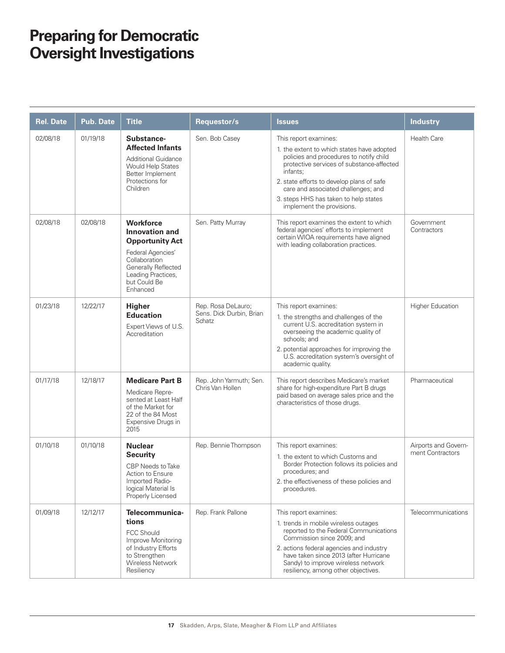| <b>Rel. Date</b> | Pub. Date | <b>Title</b>                                                                                                                                                                       | Requestor/s                                              | <b>Issues</b>                                                                                                                                                                                                                                                                                                                     | <b>Industry</b>                          |
|------------------|-----------|------------------------------------------------------------------------------------------------------------------------------------------------------------------------------------|----------------------------------------------------------|-----------------------------------------------------------------------------------------------------------------------------------------------------------------------------------------------------------------------------------------------------------------------------------------------------------------------------------|------------------------------------------|
| 02/08/18         | 01/19/18  | Substance-<br><b>Affected Infants</b><br><b>Additional Guidance</b><br>Would Help States<br>Better Implement<br>Protections for<br>Children                                        | Sen. Bob Casey                                           | This report examines:<br>1. the extent to which states have adopted<br>policies and procedures to notify child<br>protective services of substance-affected<br>infants:<br>2. state efforts to develop plans of safe<br>care and associated challenges; and<br>3. steps HHS has taken to help states<br>implement the provisions. | <b>Health Care</b>                       |
| 02/08/18         | 02/08/18  | <b>Workforce</b><br><b>Innovation and</b><br><b>Opportunity Act</b><br>Federal Agencies'<br>Collaboration<br>Generally Reflected<br>Leading Practices,<br>but Could Be<br>Enhanced | Sen. Patty Murray                                        | This report examines the extent to which<br>federal agencies' efforts to implement<br>certain WIOA requirements have aligned<br>with leading collaboration practices.                                                                                                                                                             | Government<br>Contractors                |
| 01/23/18         | 12/22/17  | <b>Higher</b><br><b>Education</b><br>Expert Views of U.S.<br>Accreditation                                                                                                         | Rep. Rosa DeLauro;<br>Sens. Dick Durbin, Brian<br>Schatz | This report examines:<br>1. the strengths and challenges of the<br>current U.S. accreditation system in<br>overseeing the academic quality of<br>schools; and<br>2. potential approaches for improving the<br>U.S. accreditation system's oversight of<br>academic quality.                                                       | <b>Higher Education</b>                  |
| 01/17/18         | 12/18/17  | <b>Medicare Part B</b><br>Medicare Repre-<br>sented at Least Half<br>of the Market for<br>22 of the 84 Most<br>Expensive Drugs in<br>2015                                          | Rep. John Yarmuth; Sen.<br>Chris Van Hollen              | This report describes Medicare's market<br>share for high-expenditure Part B drugs<br>paid based on average sales price and the<br>characteristics of those drugs.                                                                                                                                                                | Pharmaceutical                           |
| 01/10/18         | 01/10/18  | <b>Nuclear</b><br><b>Security</b><br>CBP Needs to Take<br>Action to Ensure<br>Imported Radio-<br>logical Material Is<br>Properly Licensed                                          | Rep. Bennie Thompson                                     | This report examines:<br>1. the extent to which Customs and<br>Border Protection follows its policies and<br>procedures; and<br>2. the effectiveness of these policies and<br>procedures.                                                                                                                                         | Airports and Govern-<br>ment Contractors |
| 01/09/18         | 12/12/17  | Telecommunica-<br>tions<br><b>FCC Should</b><br>Improve Monitoring<br>of Industry Efforts<br>to Strengthen<br>Wireless Network<br>Resiliency                                       | Rep. Frank Pallone                                       | This report examines:<br>1. trends in mobile wireless outages<br>reported to the Federal Communications<br>Commission since 2009; and<br>2. actions federal agencies and industry<br>have taken since 2013 (after Hurricane<br>Sandy) to improve wireless network<br>resiliency, among other objectives.                          | <b>Telecommunications</b>                |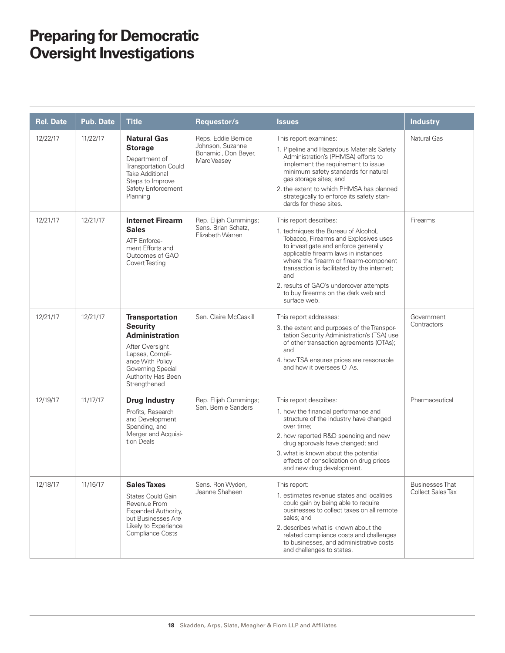| <b>Rel. Date</b> | <b>Pub. Date</b> | <b>Title</b>                                                                                                                                                                           | Requestor/s                                                                    | <b>Issues</b>                                                                                                                                                                                                                                                                                                                                                                             | <b>Industry</b>                                    |
|------------------|------------------|----------------------------------------------------------------------------------------------------------------------------------------------------------------------------------------|--------------------------------------------------------------------------------|-------------------------------------------------------------------------------------------------------------------------------------------------------------------------------------------------------------------------------------------------------------------------------------------------------------------------------------------------------------------------------------------|----------------------------------------------------|
| 12/22/17         | 11/22/17         | <b>Natural Gas</b><br><b>Storage</b><br>Department of<br>Transportation Could<br><b>Take Additional</b><br>Steps to Improve<br>Safety Enforcement<br>Planning                          | Reps. Eddie Bernice<br>Johnson, Suzanne<br>Bonamici, Don Beyer,<br>Marc Veasey | This report examines:<br>1. Pipeline and Hazardous Materials Safety<br>Administration's (PHMSA) efforts to<br>implement the requirement to issue<br>minimum safety standards for natural<br>gas storage sites; and<br>2. the extent to which PHMSA has planned<br>strategically to enforce its safety stan-<br>dards for these sites.                                                     | Natural Gas                                        |
| 12/21/17         | 12/21/17         | <b>Internet Firearm</b><br><b>Sales</b><br>ATF Enforce-<br>ment Efforts and<br>Outcomes of GAO<br>Covert Testing                                                                       | Rep. Elijah Cummings;<br>Sens. Brian Schatz,<br>Elizabeth Warren               | This report describes:<br>1. techniques the Bureau of Alcohol,<br>Tobacco, Firearms and Explosives uses<br>to investigate and enforce generally<br>applicable firearm laws in instances<br>where the firearm or firearm-component<br>transaction is facilitated by the internet;<br>and<br>2. results of GAO's undercover attempts<br>to buy firearms on the dark web and<br>surface web. | Firearms                                           |
| 12/21/17         | 12/21/17         | <b>Transportation</b><br><b>Security</b><br><b>Administration</b><br>After Oversight<br>Lapses, Compli-<br>ance With Policy<br>Governing Special<br>Authority Has Been<br>Strengthened | Sen, Claire McCaskill                                                          | This report addresses:<br>3. the extent and purposes of the Transpor-<br>tation Security Administration's (TSA) use<br>of other transaction agreements (OTAs);<br>and<br>4. how TSA ensures prices are reasonable<br>and how it oversees OTAs.                                                                                                                                            | Government<br>Contractors                          |
| 12/19/17         | 11/17/17         | <b>Drug Industry</b><br>Profits, Research<br>and Development<br>Spending, and<br>Merger and Acquisi-<br>tion Deals                                                                     | Rep. Elijah Cummings;<br>Sen. Bernie Sanders                                   | This report describes:<br>1. how the financial performance and<br>structure of the industry have changed<br>over time;<br>2. how reported R&D spending and new<br>drug approvals have changed; and<br>3. what is known about the potential<br>effects of consolidation on drug prices<br>and new drug development.                                                                        | Pharmaceutical                                     |
| 12/18/17         | 11/16/17         | <b>Sales Taxes</b><br>States Could Gain<br>Revenue From<br>Expanded Authority,<br>but Businesses Are<br>Likely to Experience<br>Compliance Costs                                       | Sens. Ron Wyden,<br>Jeanne Shaheen                                             | This report:<br>1. estimates revenue states and localities<br>could gain by being able to require<br>businesses to collect taxes on all remote<br>sales; and<br>2. describes what is known about the<br>related compliance costs and challenges<br>to businesses, and administrative costs<br>and challenges to states.                                                                   | <b>Businesses That</b><br><b>Collect Sales Tax</b> |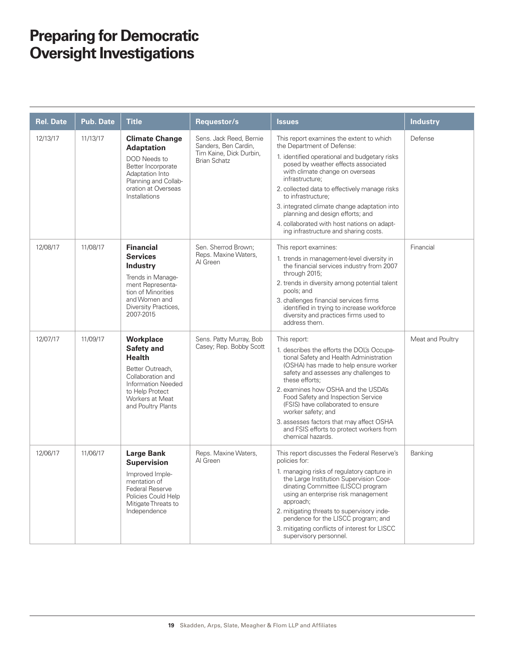| <b>Rel. Date</b> | <b>Pub. Date</b> | <b>Title</b>                                                                                                                                                                | Requestor/s                                                                                       | <b>Issues</b>                                                                                                                                                                                                                                                                                                                                                                                                                                                           | <b>Industry</b>  |
|------------------|------------------|-----------------------------------------------------------------------------------------------------------------------------------------------------------------------------|---------------------------------------------------------------------------------------------------|-------------------------------------------------------------------------------------------------------------------------------------------------------------------------------------------------------------------------------------------------------------------------------------------------------------------------------------------------------------------------------------------------------------------------------------------------------------------------|------------------|
| 12/13/17         | 11/13/17         | <b>Climate Change</b><br><b>Adaptation</b><br>DOD Needs to<br>Better Incorporate<br>Adaptation Into<br>Planning and Collab-<br>oration at Overseas<br>Installations         | Sens. Jack Reed, Bernie<br>Sanders, Ben Cardin,<br>Tim Kaine, Dick Durbin,<br><b>Brian Schatz</b> | This report examines the extent to which<br>the Department of Defense:<br>1. identified operational and budgetary risks<br>posed by weather effects associated<br>with climate change on overseas<br>infrastructure;<br>2. collected data to effectively manage risks<br>to infrastructure;<br>3. integrated climate change adaptation into<br>planning and design efforts; and<br>4. collaborated with host nations on adapt-<br>ing infrastructure and sharing costs. | Defense          |
| 12/08/17         | 11/08/17         | <b>Financial</b><br><b>Services</b><br><b>Industry</b><br>Trends in Manage-<br>ment Representa-<br>tion of Minorities<br>and Women and<br>Diversity Practices,<br>2007-2015 | Sen. Sherrod Brown;<br>Reps. Maxine Waters,<br>Al Green                                           | This report examines:<br>1. trends in management-level diversity in<br>the financial services industry from 2007<br>through 2015;<br>2. trends in diversity among potential talent<br>pools; and<br>3. challenges financial services firms<br>identified in trying to increase workforce<br>diversity and practices firms used to<br>address them.                                                                                                                      | Financial        |
| 12/07/17         | 11/09/17         | Workplace<br>Safety and<br><b>Health</b><br>Better Outreach,<br>Collaboration and<br>Information Needed<br>to Help Protect<br>Workers at Meat<br>and Poultry Plants         | Sens. Patty Murray, Bob<br>Casey; Rep. Bobby Scott                                                | This report:<br>1. describes the efforts the DOL's Occupa-<br>tional Safety and Health Administration<br>(OSHA) has made to help ensure worker<br>safety and assesses any challenges to<br>these efforts:<br>2. examines how OSHA and the USDA's<br>Food Safety and Inspection Service<br>(FSIS) have collaborated to ensure<br>worker safety; and<br>3. assesses factors that may affect OSHA<br>and FSIS efforts to protect workers from<br>chemical hazards.         | Meat and Poultry |
| 12/06/17         | 11/06/17         | <b>Large Bank</b><br><b>Supervision</b><br>Improved Imple-<br>mentation of<br>Federal Reserve<br>Policies Could Help<br>Mitigate Threats to<br>Independence                 | Reps. Maxine Waters,<br>Al Green                                                                  | This report discusses the Federal Reserve's<br>policies for:<br>1. managing risks of regulatory capture in<br>the Large Institution Supervision Coor-<br>dinating Committee (LISCC) program<br>using an enterprise risk management<br>approach;<br>2. mitigating threats to supervisory inde-<br>pendence for the LISCC program; and<br>3. mitigating conflicts of interest for LISCC<br>supervisory personnel.                                                         | Banking          |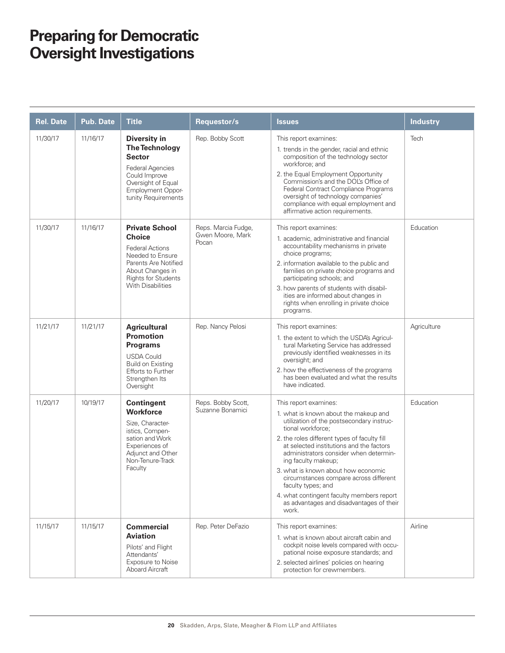| <b>Rel. Date</b> | <b>Pub. Date</b> | <b>Title</b>                                                                                                                                                                               | Requestor/s                                      | <b>Issues</b>                                                                                                                                                                                                                                                                                                                                                                                                                                                                                          | <b>Industry</b> |
|------------------|------------------|--------------------------------------------------------------------------------------------------------------------------------------------------------------------------------------------|--------------------------------------------------|--------------------------------------------------------------------------------------------------------------------------------------------------------------------------------------------------------------------------------------------------------------------------------------------------------------------------------------------------------------------------------------------------------------------------------------------------------------------------------------------------------|-----------------|
| 11/30/17         | 11/16/17         | <b>Diversity in</b><br><b>The Technology</b><br><b>Sector</b><br><b>Federal Agencies</b><br>Could Improve<br>Oversight of Equal<br><b>Employment Oppor-</b><br>tunity Requirements         | Rep. Bobby Scott                                 | This report examines:<br>1. trends in the gender, racial and ethnic<br>composition of the technology sector<br>workforce; and<br>2. the Equal Employment Opportunity<br>Commission's and the DOL's Office of<br>Federal Contract Compliance Programs<br>oversight of technology companies'<br>compliance with equal employment and<br>affirmative action requirements.                                                                                                                                 | Tech            |
| 11/30/17         | 11/16/17         | <b>Private School</b><br><b>Choice</b><br><b>Federal Actions</b><br>Needed to Ensure<br>Parents Are Notified<br>About Changes in<br><b>Rights for Students</b><br><b>With Disabilities</b> | Reps. Marcia Fudge,<br>Gwen Moore, Mark<br>Pocan | This report examines:<br>1. academic, administrative and financial<br>accountability mechanisms in private<br>choice programs;<br>2. information available to the public and<br>families on private choice programs and<br>participating schools; and<br>3. how parents of students with disabil-<br>ities are informed about changes in<br>rights when enrolling in private choice<br>programs.                                                                                                       | Education       |
| 11/21/17         | 11/21/17         | <b>Agricultural</b><br><b>Promotion</b><br><b>Programs</b><br><b>USDA Could</b><br><b>Build on Existing</b><br>Efforts to Further<br>Strengthen Its<br>Oversight                           | Rep. Nancy Pelosi                                | This report examines:<br>1. the extent to which the USDA's Agricul-<br>tural Marketing Service has addressed<br>previously identified weaknesses in its<br>oversight; and<br>2. how the effectiveness of the programs<br>has been evaluated and what the results<br>have indicated.                                                                                                                                                                                                                    | Agriculture     |
| 11/20/17         | 10/19/17         | <b>Contingent</b><br><b>Workforce</b><br>Size, Character-<br>istics, Compen-<br>sation and Work<br>Experiences of<br>Adjunct and Other<br>Non-Tenure-Track<br>Faculty                      | Reps. Bobby Scott,<br>Suzanne Bonamici           | This report examines:<br>1. what is known about the makeup and<br>utilization of the postsecondary instruc-<br>tional workforce;<br>2. the roles different types of faculty fill<br>at selected institutions and the factors<br>administrators consider when determin-<br>ing faculty makeup;<br>3. what is known about how economic<br>circumstances compare across different<br>faculty types; and<br>4. what contingent faculty members report<br>as advantages and disadvantages of their<br>work. | Education       |
| 11/15/17         | 11/15/17         | <b>Commercial</b><br><b>Aviation</b><br>Pilots' and Flight<br>Attendants'<br>Exposure to Noise<br><b>Aboard Aircraft</b>                                                                   | Rep. Peter DeFazio                               | This report examines:<br>1. what is known about aircraft cabin and<br>cockpit noise levels compared with occu-<br>pational noise exposure standards; and<br>2. selected airlines' policies on hearing<br>protection for crewmembers.                                                                                                                                                                                                                                                                   | Airline         |